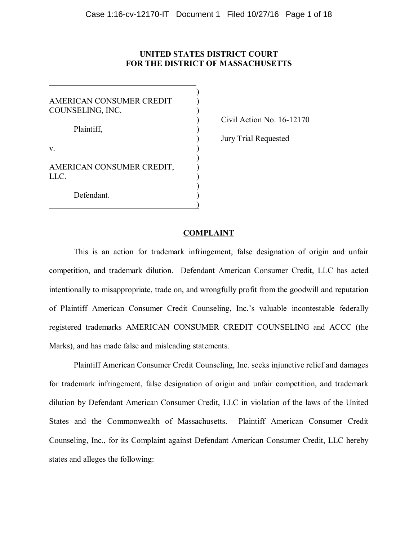## **UNITED STATES DISTRICT COURT FOR THE DISTRICT OF MASSACHUSETTS**

| AMERICAN CONSUMER CREDIT<br>COUNSELING, INC. |  |
|----------------------------------------------|--|
| Plaintiff,                                   |  |
| V.                                           |  |
| AMERICAN CONSUMER CREDIT,<br>LLC.            |  |
| Defendant.                                   |  |

 $\overline{a}$ 

) Civil Action No. 16-12170

) Jury Trial Requested

### **COMPLAINT**

This is an action for trademark infringement, false designation of origin and unfair competition, and trademark dilution. Defendant American Consumer Credit, LLC has acted intentionally to misappropriate, trade on, and wrongfully profit from the goodwill and reputation of Plaintiff American Consumer Credit Counseling, Inc.'s valuable incontestable federally registered trademarks AMERICAN CONSUMER CREDIT COUNSELING and ACCC (the Marks), and has made false and misleading statements.

Plaintiff American Consumer Credit Counseling, Inc. seeks injunctive relief and damages for trademark infringement, false designation of origin and unfair competition, and trademark dilution by Defendant American Consumer Credit, LLC in violation of the laws of the United States and the Commonwealth of Massachusetts. Plaintiff American Consumer Credit Counseling, Inc., for its Complaint against Defendant American Consumer Credit, LLC hereby states and alleges the following: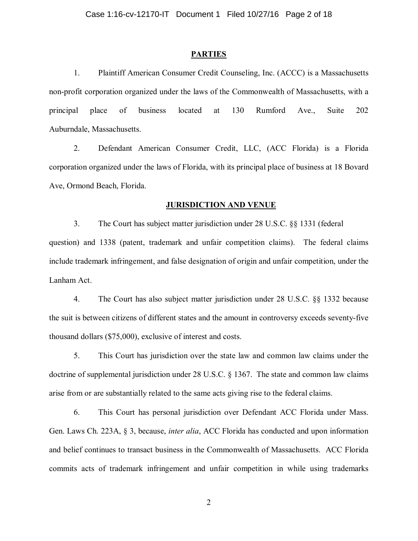#### **PARTIES**

1. Plaintiff American Consumer Credit Counseling, Inc. (ACCC) is a Massachusetts non-profit corporation organized under the laws of the Commonwealth of Massachusetts, with a principal place of business located at 130 Rumford Ave., Suite 202 Auburndale, Massachusetts.

2. Defendant American Consumer Credit, LLC, (ACC Florida) is a Florida corporation organized under the laws of Florida, with its principal place of business at 18 Bovard Ave, Ormond Beach, Florida.

#### **JURISDICTION AND VENUE**

3. The Court has subject matter jurisdiction under 28 U.S.C. §§ 1331 (federal question) and 1338 (patent, trademark and unfair competition claims). The federal claims include trademark infringement, and false designation of origin and unfair competition, under the Lanham Act.

4. The Court has also subject matter jurisdiction under 28 U.S.C. §§ 1332 because the suit is between citizens of different states and the amount in controversy exceeds seventy-five thousand dollars (\$75,000), exclusive of interest and costs.

5. This Court has jurisdiction over the state law and common law claims under the doctrine of supplemental jurisdiction under 28 U.S.C. § 1367. The state and common law claims arise from or are substantially related to the same acts giving rise to the federal claims.

6. This Court has personal jurisdiction over Defendant ACC Florida under Mass. Gen. Laws Ch. 223A, § 3, because, *inter alia*, ACC Florida has conducted and upon information and belief continues to transact business in the Commonwealth of Massachusetts. ACC Florida commits acts of trademark infringement and unfair competition in while using trademarks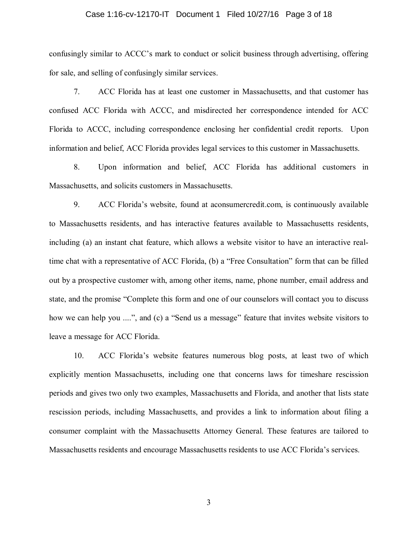### Case 1:16-cv-12170-IT Document 1 Filed 10/27/16 Page 3 of 18

confusingly similar to ACCC's mark to conduct or solicit business through advertising, offering for sale, and selling of confusingly similar services.

7. ACC Florida has at least one customer in Massachusetts, and that customer has confused ACC Florida with ACCC, and misdirected her correspondence intended for ACC Florida to ACCC, including correspondence enclosing her confidential credit reports. Upon information and belief, ACC Florida provides legal services to this customer in Massachusetts.

8. Upon information and belief, ACC Florida has additional customers in Massachusetts, and solicits customers in Massachusetts.

9. ACC Florida's website, found at aconsumercredit.com, is continuously available to Massachusetts residents, and has interactive features available to Massachusetts residents, including (a) an instant chat feature, which allows a website visitor to have an interactive realtime chat with a representative of ACC Florida, (b) a "Free Consultation" form that can be filled out by a prospective customer with, among other items, name, phone number, email address and state, and the promise "Complete this form and one of our counselors will contact you to discuss how we can help you ....", and (c) a "Send us a message" feature that invites website visitors to leave a message for ACC Florida.

10. ACC Florida's website features numerous blog posts, at least two of which explicitly mention Massachusetts, including one that concerns laws for timeshare rescission periods and gives two only two examples, Massachusetts and Florida, and another that lists state rescission periods, including Massachusetts, and provides a link to information about filing a consumer complaint with the Massachusetts Attorney General. These features are tailored to Massachusetts residents and encourage Massachusetts residents to use ACC Florida's services.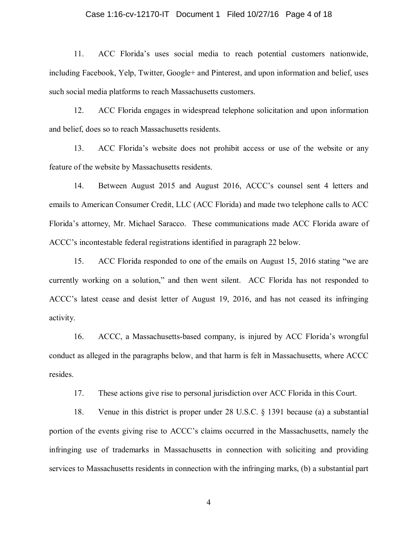### Case 1:16-cv-12170-IT Document 1 Filed 10/27/16 Page 4 of 18

11. ACC Florida's uses social media to reach potential customers nationwide, including Facebook, Yelp, Twitter, Google+ and Pinterest, and upon information and belief, uses such social media platforms to reach Massachusetts customers.

12. ACC Florida engages in widespread telephone solicitation and upon information and belief, does so to reach Massachusetts residents.

13. ACC Florida's website does not prohibit access or use of the website or any feature of the website by Massachusetts residents.

14. Between August 2015 and August 2016, ACCC's counsel sent 4 letters and emails to American Consumer Credit, LLC (ACC Florida) and made two telephone calls to ACC Florida's attorney, Mr. Michael Saracco. These communications made ACC Florida aware of ACCC's incontestable federal registrations identified in paragraph 22 below.

15. ACC Florida responded to one of the emails on August 15, 2016 stating "we are currently working on a solution," and then went silent. ACC Florida has not responded to ACCC's latest cease and desist letter of August 19, 2016, and has not ceased its infringing activity.

16. ACCC, a Massachusetts-based company, is injured by ACC Florida's wrongful conduct as alleged in the paragraphs below, and that harm is felt in Massachusetts, where ACCC resides.

17. These actions give rise to personal jurisdiction over ACC Florida in this Court.

18. Venue in this district is proper under 28 U.S.C. § 1391 because (a) a substantial portion of the events giving rise to ACCC's claims occurred in the Massachusetts, namely the infringing use of trademarks in Massachusetts in connection with soliciting and providing services to Massachusetts residents in connection with the infringing marks, (b) a substantial part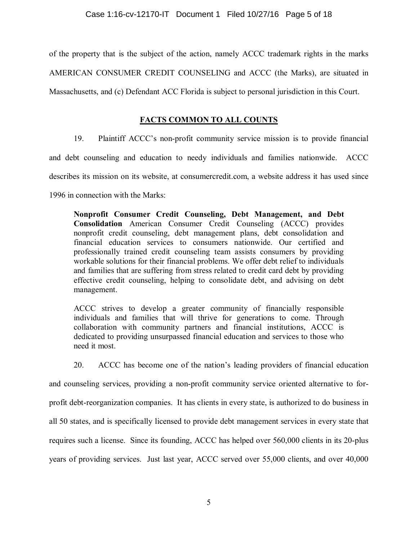of the property that is the subject of the action, namely ACCC trademark rights in the marks AMERICAN CONSUMER CREDIT COUNSELING and ACCC (the Marks), are situated in Massachusetts, and (c) Defendant ACC Florida is subject to personal jurisdiction in this Court.

# **FACTS COMMON TO ALL COUNTS**

19. Plaintiff ACCC's non-profit community service mission is to provide financial

and debt counseling and education to needy individuals and families nationwide. ACCC

describes its mission on its website, at consumercredit.com, a website address it has used since

1996 in connection with the Marks:

**Nonprofit Consumer Credit Counseling, Debt Management, and Debt Consolidation** American Consumer Credit Counseling (ACCC) provides nonprofit credit counseling, debt management plans, debt consolidation and financial education services to consumers nationwide. Our certified and professionally trained credit counseling team assists consumers by providing workable solutions for their financial problems. We offer debt relief to individuals and families that are suffering from stress related to credit card debt by providing effective credit counseling, helping to consolidate debt, and advising on debt management.

ACCC strives to develop a greater community of financially responsible individuals and families that will thrive for generations to come. Through collaboration with community partners and financial institutions, ACCC is dedicated to providing unsurpassed financial education and services to those who need it most.

20. ACCC has become one of the nation's leading providers of financial education

and counseling services, providing a non-profit community service oriented alternative to forprofit debt-reorganization companies. It has clients in every state, is authorized to do business in all 50 states, and is specifically licensed to provide debt management services in every state that requires such a license. Since its founding, ACCC has helped over 560,000 clients in its 20-plus years of providing services. Just last year, ACCC served over 55,000 clients, and over 40,000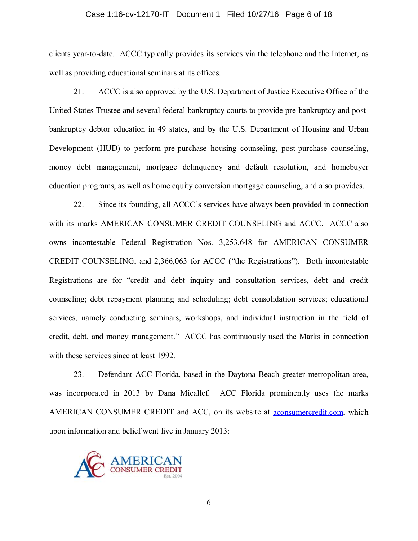### Case 1:16-cv-12170-IT Document 1 Filed 10/27/16 Page 6 of 18

clients year-to-date. ACCC typically provides its services via the telephone and the Internet, as well as providing educational seminars at its offices.

21. ACCC is also approved by the U.S. Department of Justice Executive Office of the United States Trustee and several federal bankruptcy courts to provide pre-bankruptcy and postbankruptcy debtor education in 49 states, and by the U.S. Department of Housing and Urban Development (HUD) to perform pre-purchase housing counseling, post-purchase counseling, money debt management, mortgage delinquency and default resolution, and homebuyer education programs, as well as home equity conversion mortgage counseling, and also provides.

22. Since its founding, all ACCC's services have always been provided in connection with its marks AMERICAN CONSUMER CREDIT COUNSELING and ACCC. ACCC also owns incontestable Federal Registration Nos. 3,253,648 for AMERICAN CONSUMER CREDIT COUNSELING, and 2,366,063 for ACCC ("the Registrations"). Both incontestable Registrations are for "credit and debt inquiry and consultation services, debt and credit counseling; debt repayment planning and scheduling; debt consolidation services; educational services, namely conducting seminars, workshops, and individual instruction in the field of credit, debt, and money management." ACCC has continuously used the Marks in connection with these services since at least 1992.

23. Defendant ACC Florida, based in the Daytona Beach greater metropolitan area, was incorporated in 2013 by Dana Micallef. ACC Florida prominently uses the marks AMERICAN CONSUMER CREDIT and ACC, on its website at aconsumercredit.com, which upon information and belief went live in January 2013:

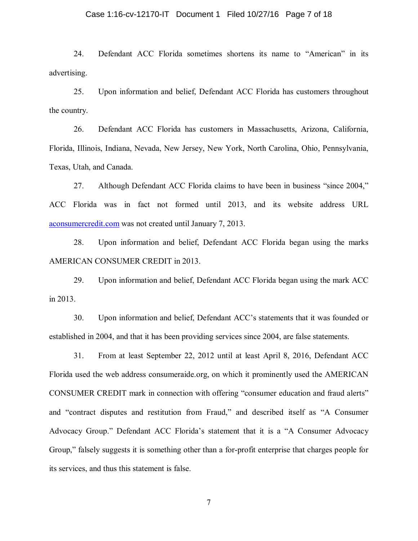### Case 1:16-cv-12170-IT Document 1 Filed 10/27/16 Page 7 of 18

24. Defendant ACC Florida sometimes shortens its name to "American" in its advertising.

25. Upon information and belief, Defendant ACC Florida has customers throughout the country.

26. Defendant ACC Florida has customers in Massachusetts, Arizona, California, Florida, Illinois, Indiana, Nevada, New Jersey, New York, North Carolina, Ohio, Pennsylvania, Texas, Utah, and Canada.

27. Although Defendant ACC Florida claims to have been in business "since 2004," ACC Florida was in fact not formed until 2013, and its website address URL aconsumercredit.com was not created until January 7, 2013.

28. Upon information and belief, Defendant ACC Florida began using the marks AMERICAN CONSUMER CREDIT in 2013.

29. Upon information and belief, Defendant ACC Florida began using the mark ACC in 2013.

30. Upon information and belief, Defendant ACC's statements that it was founded or established in 2004, and that it has been providing services since 2004, are false statements.

31. From at least September 22, 2012 until at least April 8, 2016, Defendant ACC Florida used the web address consumeraide.org, on which it prominently used the AMERICAN CONSUMER CREDIT mark in connection with offering "consumer education and fraud alerts" and "contract disputes and restitution from Fraud," and described itself as "A Consumer Advocacy Group." Defendant ACC Florida's statement that it is a "A Consumer Advocacy Group," falsely suggests it is something other than a for-profit enterprise that charges people for its services, and thus this statement is false.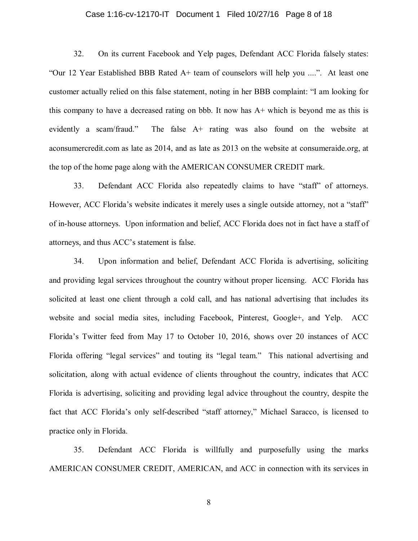### Case 1:16-cv-12170-IT Document 1 Filed 10/27/16 Page 8 of 18

32. On its current Facebook and Yelp pages, Defendant ACC Florida falsely states: "Our 12 Year Established BBB Rated A+ team of counselors will help you ....". At least one customer actually relied on this false statement, noting in her BBB complaint: "I am looking for this company to have a decreased rating on bbb. It now has A+ which is beyond me as this is evidently a scam/fraud." The false A+ rating was also found on the website at aconsumercredit.com as late as 2014, and as late as 2013 on the website at consumeraide.org, at the top of the home page along with the AMERICAN CONSUMER CREDIT mark.

33. Defendant ACC Florida also repeatedly claims to have "staff" of attorneys. However, ACC Florida's website indicates it merely uses a single outside attorney, not a "staff" of in-house attorneys. Upon information and belief, ACC Florida does not in fact have a staff of attorneys, and thus ACC's statement is false.

34. Upon information and belief, Defendant ACC Florida is advertising, soliciting and providing legal services throughout the country without proper licensing. ACC Florida has solicited at least one client through a cold call, and has national advertising that includes its website and social media sites, including Facebook, Pinterest, Google+, and Yelp. ACC Florida's Twitter feed from May 17 to October 10, 2016, shows over 20 instances of ACC Florida offering "legal services" and touting its "legal team." This national advertising and solicitation, along with actual evidence of clients throughout the country, indicates that ACC Florida is advertising, soliciting and providing legal advice throughout the country, despite the fact that ACC Florida's only self-described "staff attorney," Michael Saracco, is licensed to practice only in Florida.

35. Defendant ACC Florida is willfully and purposefully using the marks AMERICAN CONSUMER CREDIT, AMERICAN, and ACC in connection with its services in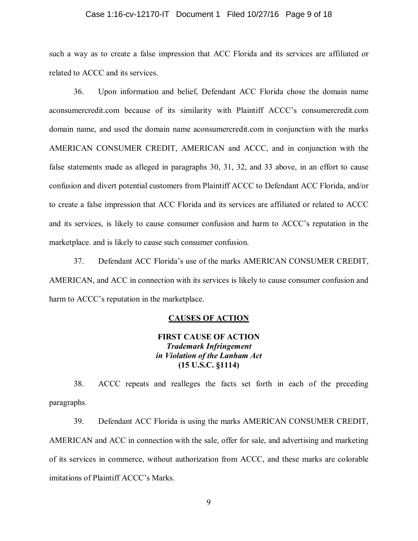### Case 1:16-cv-12170-IT Document 1 Filed 10/27/16 Page 9 of 18

such a way as to create a false impression that ACC Florida and its services are affiliated or related to ACCC and its services.

36. Upon information and belief, Defendant ACC Florida chose the domain name aconsumercredit.com because of its similarity with Plaintiff ACCC's consumercredit.com domain name, and used the domain name aconsumercredit.com in conjunction with the marks AMERICAN CONSUMER CREDIT, AMERICAN and ACCC, and in conjunction with the false statements made as alleged in paragraphs 30, 31, 32, and 33 above, in an effort to cause confusion and divert potential customers from Plaintiff ACCC to Defendant ACC Florida, and/or to create a false impression that ACC Florida and its services are affiliated or related to ACCC and its services, is likely to cause consumer confusion and harm to ACCC's reputation in the marketplace. and is likely to cause such consumer confusion.

37. Defendant ACC Florida's use of the marks AMERICAN CONSUMER CREDIT, AMERICAN, and ACC in connection with its services is likely to cause consumer confusion and harm to ACCC's reputation in the marketplace.

### **CAUSES OF ACTION**

# **FIRST CAUSE OF ACTION**  *Trademark Infringement in Violation of the Lanham Act*  **(15 U.S.C. §1114)**

38. ACCC repeats and realleges the facts set forth in each of the preceding paragraphs.

39. Defendant ACC Florida is using the marks AMERICAN CONSUMER CREDIT, AMERICAN and ACC in connection with the sale, offer for sale, and advertising and marketing of its services in commerce, without authorization from ACCC, and these marks are colorable imitations of Plaintiff ACCC's Marks.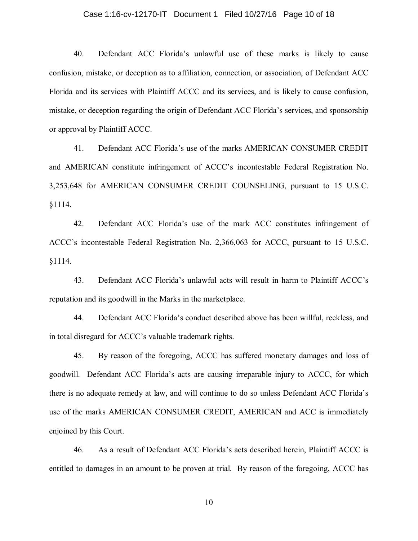### Case 1:16-cv-12170-IT Document 1 Filed 10/27/16 Page 10 of 18

40. Defendant ACC Florida's unlawful use of these marks is likely to cause confusion, mistake, or deception as to affiliation, connection, or association, of Defendant ACC Florida and its services with Plaintiff ACCC and its services, and is likely to cause confusion, mistake, or deception regarding the origin of Defendant ACC Florida's services, and sponsorship or approval by Plaintiff ACCC.

41. Defendant ACC Florida's use of the marks AMERICAN CONSUMER CREDIT and AMERICAN constitute infringement of ACCC's incontestable Federal Registration No. 3,253,648 for AMERICAN CONSUMER CREDIT COUNSELING, pursuant to 15 U.S.C. §1114.

42. Defendant ACC Florida's use of the mark ACC constitutes infringement of ACCC's incontestable Federal Registration No. 2,366,063 for ACCC, pursuant to 15 U.S.C. §1114.

43. Defendant ACC Florida's unlawful acts will result in harm to Plaintiff ACCC's reputation and its goodwill in the Marks in the marketplace.

44. Defendant ACC Florida's conduct described above has been willful, reckless, and in total disregard for ACCC's valuable trademark rights.

45. By reason of the foregoing, ACCC has suffered monetary damages and loss of goodwill. Defendant ACC Florida's acts are causing irreparable injury to ACCC, for which there is no adequate remedy at law, and will continue to do so unless Defendant ACC Florida's use of the marks AMERICAN CONSUMER CREDIT, AMERICAN and ACC is immediately enjoined by this Court.

46. As a result of Defendant ACC Florida's acts described herein, Plaintiff ACCC is entitled to damages in an amount to be proven at trial. By reason of the foregoing, ACCC has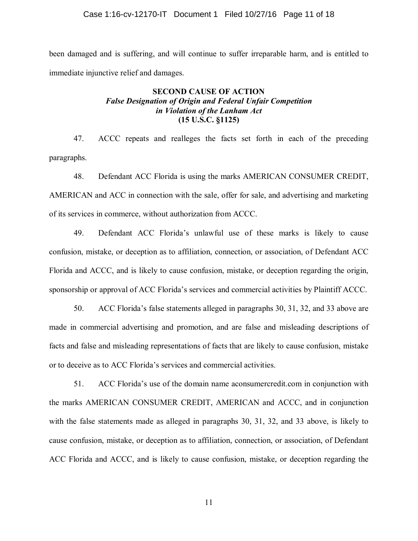been damaged and is suffering, and will continue to suffer irreparable harm, and is entitled to immediate injunctive relief and damages.

# **SECOND CAUSE OF ACTION**  *False Designation of Origin and Federal Unfair Competition in Violation of the Lanham Act*  **(15 U.S.C. §1125)**

47. ACCC repeats and realleges the facts set forth in each of the preceding paragraphs.

48. Defendant ACC Florida is using the marks AMERICAN CONSUMER CREDIT, AMERICAN and ACC in connection with the sale, offer for sale, and advertising and marketing of its services in commerce, without authorization from ACCC.

49. Defendant ACC Florida's unlawful use of these marks is likely to cause confusion, mistake, or deception as to affiliation, connection, or association, of Defendant ACC Florida and ACCC, and is likely to cause confusion, mistake, or deception regarding the origin, sponsorship or approval of ACC Florida's services and commercial activities by Plaintiff ACCC.

50. ACC Florida's false statements alleged in paragraphs 30, 31, 32, and 33 above are made in commercial advertising and promotion, and are false and misleading descriptions of facts and false and misleading representations of facts that are likely to cause confusion, mistake or to deceive as to ACC Florida's services and commercial activities.

51. ACC Florida's use of the domain name aconsumercredit.com in conjunction with the marks AMERICAN CONSUMER CREDIT, AMERICAN and ACCC, and in conjunction with the false statements made as alleged in paragraphs 30, 31, 32, and 33 above, is likely to cause confusion, mistake, or deception as to affiliation, connection, or association, of Defendant ACC Florida and ACCC, and is likely to cause confusion, mistake, or deception regarding the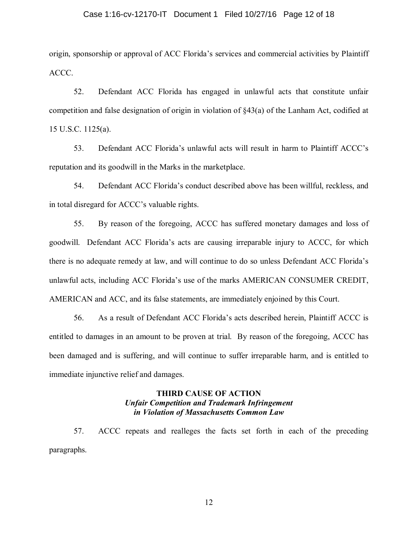### Case 1:16-cv-12170-IT Document 1 Filed 10/27/16 Page 12 of 18

origin, sponsorship or approval of ACC Florida's services and commercial activities by Plaintiff ACCC.

52. Defendant ACC Florida has engaged in unlawful acts that constitute unfair competition and false designation of origin in violation of §43(a) of the Lanham Act, codified at 15 U.S.C. 1125(a).

53. Defendant ACC Florida's unlawful acts will result in harm to Plaintiff ACCC's reputation and its goodwill in the Marks in the marketplace.

54. Defendant ACC Florida's conduct described above has been willful, reckless, and in total disregard for ACCC's valuable rights.

55. By reason of the foregoing, ACCC has suffered monetary damages and loss of goodwill. Defendant ACC Florida's acts are causing irreparable injury to ACCC, for which there is no adequate remedy at law, and will continue to do so unless Defendant ACC Florida's unlawful acts, including ACC Florida's use of the marks AMERICAN CONSUMER CREDIT, AMERICAN and ACC, and its false statements, are immediately enjoined by this Court.

56. As a result of Defendant ACC Florida's acts described herein, Plaintiff ACCC is entitled to damages in an amount to be proven at trial. By reason of the foregoing, ACCC has been damaged and is suffering, and will continue to suffer irreparable harm, and is entitled to immediate injunctive relief and damages.

## **THIRD CAUSE OF ACTION**  *Unfair Competition and Trademark Infringement in Violation of Massachusetts Common Law*

57. ACCC repeats and realleges the facts set forth in each of the preceding paragraphs.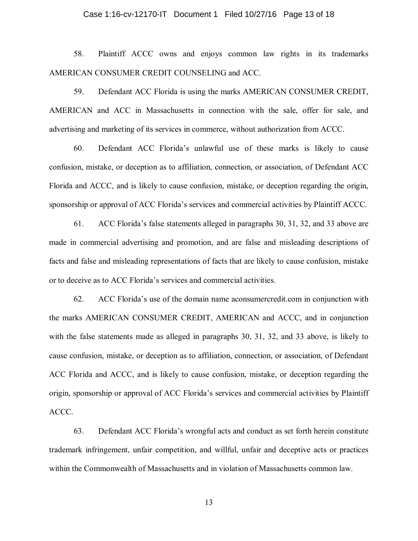#### Case 1:16-cv-12170-IT Document 1 Filed 10/27/16 Page 13 of 18

58. Plaintiff ACCC owns and enjoys common law rights in its trademarks AMERICAN CONSUMER CREDIT COUNSELING and ACC.

59. Defendant ACC Florida is using the marks AMERICAN CONSUMER CREDIT, AMERICAN and ACC in Massachusetts in connection with the sale, offer for sale, and advertising and marketing of its services in commerce, without authorization from ACCC.

60. Defendant ACC Florida's unlawful use of these marks is likely to cause confusion, mistake, or deception as to affiliation, connection, or association, of Defendant ACC Florida and ACCC, and is likely to cause confusion, mistake, or deception regarding the origin, sponsorship or approval of ACC Florida's services and commercial activities by Plaintiff ACCC.

61. ACC Florida's false statements alleged in paragraphs 30, 31, 32, and 33 above are made in commercial advertising and promotion, and are false and misleading descriptions of facts and false and misleading representations of facts that are likely to cause confusion, mistake or to deceive as to ACC Florida's services and commercial activities.

62. ACC Florida's use of the domain name aconsumercredit.com in conjunction with the marks AMERICAN CONSUMER CREDIT, AMERICAN and ACCC, and in conjunction with the false statements made as alleged in paragraphs 30, 31, 32, and 33 above, is likely to cause confusion, mistake, or deception as to affiliation, connection, or association, of Defendant ACC Florida and ACCC, and is likely to cause confusion, mistake, or deception regarding the origin, sponsorship or approval of ACC Florida's services and commercial activities by Plaintiff ACCC.

63. Defendant ACC Florida's wrongful acts and conduct as set forth herein constitute trademark infringement, unfair competition, and willful, unfair and deceptive acts or practices within the Commonwealth of Massachusetts and in violation of Massachusetts common law.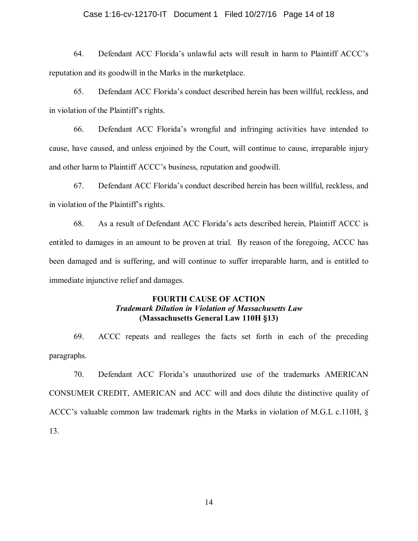### Case 1:16-cv-12170-IT Document 1 Filed 10/27/16 Page 14 of 18

64. Defendant ACC Florida's unlawful acts will result in harm to Plaintiff ACCC's reputation and its goodwill in the Marks in the marketplace.

65. Defendant ACC Florida's conduct described herein has been willful, reckless, and in violation of the Plaintiff's rights.

66. Defendant ACC Florida's wrongful and infringing activities have intended to cause, have caused, and unless enjoined by the Court, will continue to cause, irreparable injury and other harm to Plaintiff ACCC's business, reputation and goodwill.

67. Defendant ACC Florida's conduct described herein has been willful, reckless, and in violation of the Plaintiff's rights.

68. As a result of Defendant ACC Florida's acts described herein, Plaintiff ACCC is entitled to damages in an amount to be proven at trial. By reason of the foregoing, ACCC has been damaged and is suffering, and will continue to suffer irreparable harm, and is entitled to immediate injunctive relief and damages.

# **FOURTH CAUSE OF ACTION**  *Trademark Dilution in Violation of Massachusetts Law*  **(Massachusetts General Law 110H §13)**

69. ACCC repeats and realleges the facts set forth in each of the preceding paragraphs.

70. Defendant ACC Florida's unauthorized use of the trademarks AMERICAN CONSUMER CREDIT, AMERICAN and ACC will and does dilute the distinctive quality of ACCC's valuable common law trademark rights in the Marks in violation of M.G.L c.110H, § 13.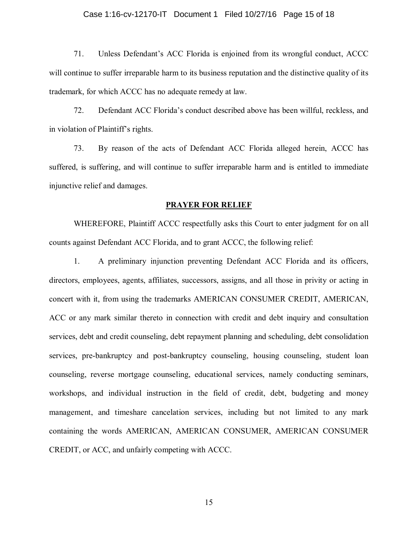#### Case 1:16-cv-12170-IT Document 1 Filed 10/27/16 Page 15 of 18

71. Unless Defendant's ACC Florida is enjoined from its wrongful conduct, ACCC will continue to suffer irreparable harm to its business reputation and the distinctive quality of its trademark, for which ACCC has no adequate remedy at law.

72. Defendant ACC Florida's conduct described above has been willful, reckless, and in violation of Plaintiff's rights.

73. By reason of the acts of Defendant ACC Florida alleged herein, ACCC has suffered, is suffering, and will continue to suffer irreparable harm and is entitled to immediate injunctive relief and damages.

#### **PRAYER FOR RELIEF**

WHEREFORE, Plaintiff ACCC respectfully asks this Court to enter judgment for on all counts against Defendant ACC Florida, and to grant ACCC, the following relief:

1. A preliminary injunction preventing Defendant ACC Florida and its officers, directors, employees, agents, affiliates, successors, assigns, and all those in privity or acting in concert with it, from using the trademarks AMERICAN CONSUMER CREDIT, AMERICAN, ACC or any mark similar thereto in connection with credit and debt inquiry and consultation services, debt and credit counseling, debt repayment planning and scheduling, debt consolidation services, pre-bankruptcy and post-bankruptcy counseling, housing counseling, student loan counseling, reverse mortgage counseling, educational services, namely conducting seminars, workshops, and individual instruction in the field of credit, debt, budgeting and money management, and timeshare cancelation services, including but not limited to any mark containing the words AMERICAN, AMERICAN CONSUMER, AMERICAN CONSUMER CREDIT, or ACC, and unfairly competing with ACCC.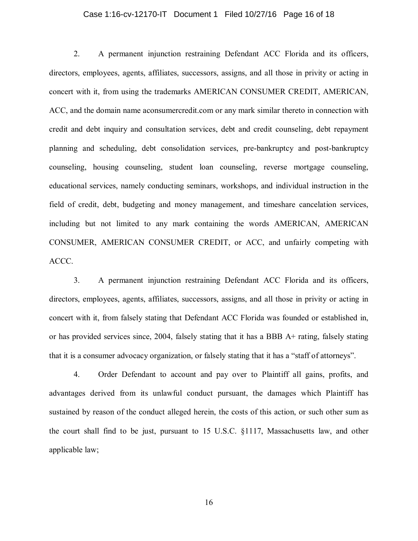#### Case 1:16-cv-12170-IT Document 1 Filed 10/27/16 Page 16 of 18

2. A permanent injunction restraining Defendant ACC Florida and its officers, directors, employees, agents, affiliates, successors, assigns, and all those in privity or acting in concert with it, from using the trademarks AMERICAN CONSUMER CREDIT, AMERICAN, ACC, and the domain name aconsumercredit.com or any mark similar thereto in connection with credit and debt inquiry and consultation services, debt and credit counseling, debt repayment planning and scheduling, debt consolidation services, pre-bankruptcy and post-bankruptcy counseling, housing counseling, student loan counseling, reverse mortgage counseling, educational services, namely conducting seminars, workshops, and individual instruction in the field of credit, debt, budgeting and money management, and timeshare cancelation services, including but not limited to any mark containing the words AMERICAN, AMERICAN CONSUMER, AMERICAN CONSUMER CREDIT, or ACC, and unfairly competing with ACCC.

3. A permanent injunction restraining Defendant ACC Florida and its officers, directors, employees, agents, affiliates, successors, assigns, and all those in privity or acting in concert with it, from falsely stating that Defendant ACC Florida was founded or established in, or has provided services since, 2004, falsely stating that it has a BBB A+ rating, falsely stating that it is a consumer advocacy organization, or falsely stating that it has a "staff of attorneys".

4. Order Defendant to account and pay over to Plaintiff all gains, profits, and advantages derived from its unlawful conduct pursuant, the damages which Plaintiff has sustained by reason of the conduct alleged herein, the costs of this action, or such other sum as the court shall find to be just, pursuant to 15 U.S.C. §1117, Massachusetts law, and other applicable law;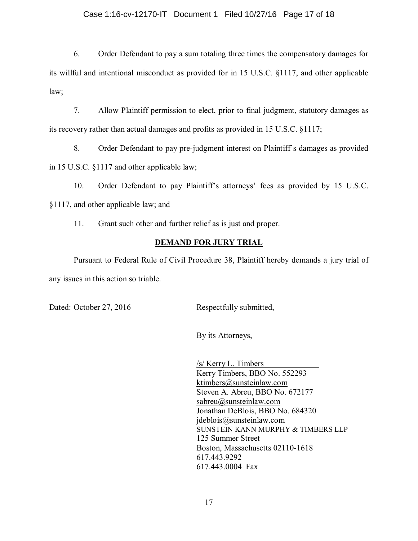### Case 1:16-cv-12170-IT Document 1 Filed 10/27/16 Page 17 of 18

6. Order Defendant to pay a sum totaling three times the compensatory damages for its willful and intentional misconduct as provided for in 15 U.S.C. §1117, and other applicable law;

7. Allow Plaintiff permission to elect, prior to final judgment, statutory damages as its recovery rather than actual damages and profits as provided in 15 U.S.C. §1117;

8. Order Defendant to pay pre-judgment interest on Plaintiff's damages as provided in 15 U.S.C. §1117 and other applicable law;

10. Order Defendant to pay Plaintiff's attorneys' fees as provided by 15 U.S.C. §1117, and other applicable law; and

11. Grant such other and further relief as is just and proper.

# **DEMAND FOR JURY TRIAL**

Pursuant to Federal Rule of Civil Procedure 38, Plaintiff hereby demands a jury trial of any issues in this action so triable.

Dated: October 27, 2016 Respectfully submitted,

By its Attorneys,

/s/ Kerry L. Timbers Kerry Timbers, BBO No. 552293 [ktimbers@sunsteinlaw.com](mailto:ktimbers@sunsteinlaw.com) Steven A. Abreu, BBO No. 672177 [sabreu@sunsteinlaw.com](mailto:sabreu@sunsteinlaw.com)  Jonathan DeBlois, BBO No. 684320 [jdeblois@sunsteinlaw.com](mailto:jdeblois@sunsteinlaw.com) SUNSTEIN KANN MURPHY & TIMBERS LLP 125 Summer Street Boston, Massachusetts 02110-1618 617.443.9292 617.443.0004 Fax